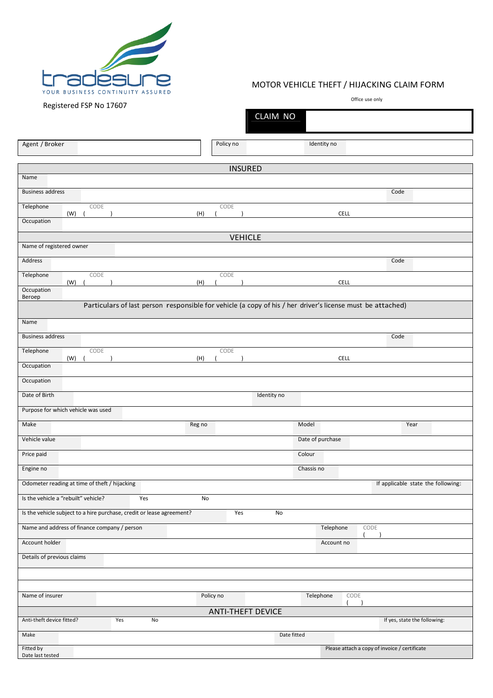

## MOTOR VEHICLE THEFT / HIJACKING CLAIM FORM

Office use only

| ັບ                                                                                                         |                          | CLAIM NO                           |                                               |  |  |  |  |
|------------------------------------------------------------------------------------------------------------|--------------------------|------------------------------------|-----------------------------------------------|--|--|--|--|
| Agent / Broker                                                                                             | Policy no                | Identity no                        |                                               |  |  |  |  |
|                                                                                                            |                          |                                    |                                               |  |  |  |  |
| <b>INSURED</b><br>Name                                                                                     |                          |                                    |                                               |  |  |  |  |
| <b>Business address</b>                                                                                    |                          |                                    | Code                                          |  |  |  |  |
| CODE<br>Telephone                                                                                          | CODE                     |                                    |                                               |  |  |  |  |
| (W)<br>(H)<br>Occupation                                                                                   |                          | <b>CELL</b>                        |                                               |  |  |  |  |
| <b>VEHICLE</b>                                                                                             |                          |                                    |                                               |  |  |  |  |
| Name of registered owner                                                                                   |                          |                                    |                                               |  |  |  |  |
| Address                                                                                                    |                          |                                    | Code                                          |  |  |  |  |
| Telephone<br>CODE<br>(W)<br>(H)                                                                            | CODE                     | <b>CELL</b>                        |                                               |  |  |  |  |
| Occupation<br>Beroep                                                                                       |                          |                                    |                                               |  |  |  |  |
| Particulars of last person responsible for vehicle (a copy of his / her driver's license must be attached) |                          |                                    |                                               |  |  |  |  |
| Name                                                                                                       |                          |                                    |                                               |  |  |  |  |
| <b>Business address</b>                                                                                    |                          |                                    | Code                                          |  |  |  |  |
| CODE<br>Telephone<br>(W)<br>(H)                                                                            | CODE                     | <b>CELL</b>                        |                                               |  |  |  |  |
| Occupation                                                                                                 |                          |                                    |                                               |  |  |  |  |
| Occupation                                                                                                 |                          |                                    |                                               |  |  |  |  |
| Date of Birth                                                                                              |                          | Identity no                        |                                               |  |  |  |  |
| Purpose for which vehicle was used                                                                         |                          |                                    |                                               |  |  |  |  |
| Make<br>Reg no                                                                                             |                          | Model                              | Year                                          |  |  |  |  |
| Vehicle value                                                                                              |                          | Date of purchase                   |                                               |  |  |  |  |
| Price paid                                                                                                 |                          | Colour                             |                                               |  |  |  |  |
| Engine no                                                                                                  |                          | Chassis no                         |                                               |  |  |  |  |
| Odometer reading at time of theft / hijacking                                                              |                          |                                    | If applicable state the following:            |  |  |  |  |
| Is the vehicle a "rebuilt" vehicle?<br>Yes                                                                 | No                       |                                    |                                               |  |  |  |  |
| Is the vehicle subject to a hire purchase, credit or lease agreement?<br>Yes<br>No                         |                          |                                    |                                               |  |  |  |  |
| Name and address of finance company / person                                                               |                          | Telephone                          | CODE                                          |  |  |  |  |
| Account holder                                                                                             |                          | Account no                         |                                               |  |  |  |  |
| Details of previous claims                                                                                 |                          |                                    |                                               |  |  |  |  |
|                                                                                                            |                          |                                    |                                               |  |  |  |  |
|                                                                                                            |                          |                                    |                                               |  |  |  |  |
| Name of insurer                                                                                            | Policy no                | Telephone<br>CODE<br>$\rightarrow$ |                                               |  |  |  |  |
| Anti-theft device fitted?<br>No<br>Yes                                                                     | <b>ANTI-THEFT DEVICE</b> |                                    | If yes, state the following:                  |  |  |  |  |
| Make                                                                                                       |                          | Date fitted                        |                                               |  |  |  |  |
|                                                                                                            |                          |                                    |                                               |  |  |  |  |
| Fitted by<br>Date last tested                                                                              |                          |                                    | Please attach a copy of invoice / certificate |  |  |  |  |